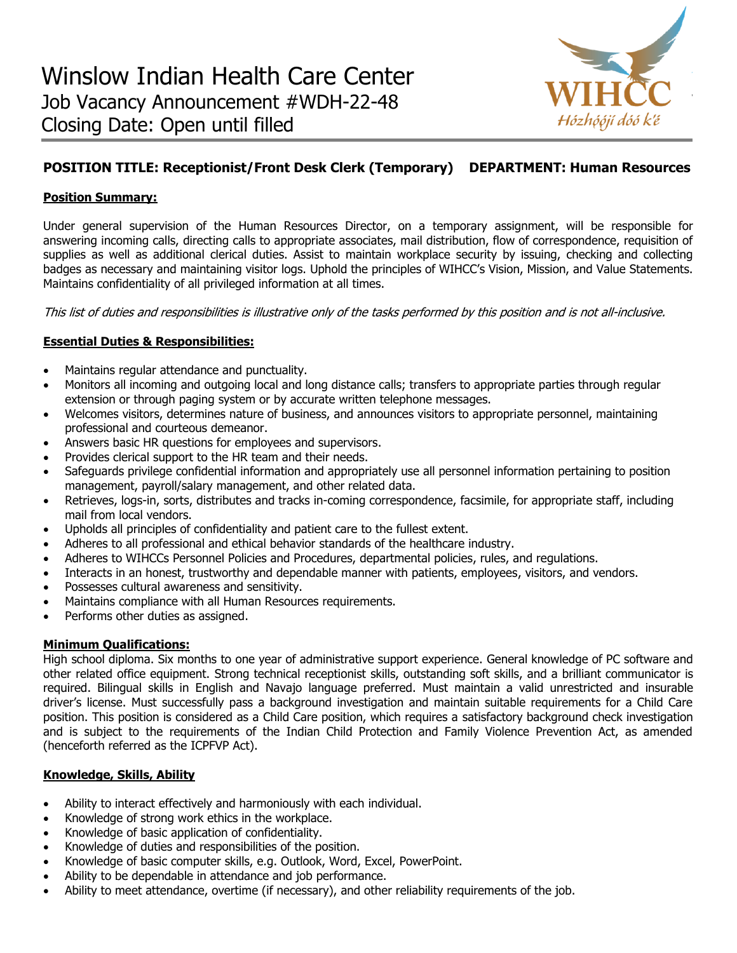

# **POSITION TITLE: Receptionist/Front Desk Clerk (Temporary) DEPARTMENT: Human Resources**

# **Position Summary:**

Under general supervision of the Human Resources Director, on a temporary assignment, will be responsible for answering incoming calls, directing calls to appropriate associates, mail distribution, flow of correspondence, requisition of supplies as well as additional clerical duties. Assist to maintain workplace security by issuing, checking and collecting badges as necessary and maintaining visitor logs. Uphold the principles of WIHCC's Vision, Mission, and Value Statements. Maintains confidentiality of all privileged information at all times.

This list of duties and responsibilities is illustrative only of the tasks performed by this position and is not all-inclusive.

## **Essential Duties & Responsibilities:**

- Maintains regular attendance and punctuality.
- Monitors all incoming and outgoing local and long distance calls; transfers to appropriate parties through regular extension or through paging system or by accurate written telephone messages.
- Welcomes visitors, determines nature of business, and announces visitors to appropriate personnel, maintaining professional and courteous demeanor.
- Answers basic HR questions for employees and supervisors.
- Provides clerical support to the HR team and their needs.
- Safeguards privilege confidential information and appropriately use all personnel information pertaining to position management, payroll/salary management, and other related data.
- Retrieves, logs-in, sorts, distributes and tracks in-coming correspondence, facsimile, for appropriate staff, including mail from local vendors.
- Upholds all principles of confidentiality and patient care to the fullest extent.
- Adheres to all professional and ethical behavior standards of the healthcare industry.
- Adheres to WIHCCs Personnel Policies and Procedures, departmental policies, rules, and regulations.
- Interacts in an honest, trustworthy and dependable manner with patients, employees, visitors, and vendors.
- Possesses cultural awareness and sensitivity.
- Maintains compliance with all Human Resources requirements.
- Performs other duties as assigned.

### **Minimum Qualifications:**

High school diploma. Six months to one year of administrative support experience. General knowledge of PC software and other related office equipment. Strong technical receptionist skills, outstanding soft skills, and a brilliant communicator is required. Bilingual skills in English and Navajo language preferred. Must maintain a valid unrestricted and insurable driver's license. Must successfully pass a background investigation and maintain suitable requirements for a Child Care position. This position is considered as a Child Care position, which requires a satisfactory background check investigation and is subject to the requirements of the Indian Child Protection and Family Violence Prevention Act, as amended (henceforth referred as the ICPFVP Act).

## **Knowledge, Skills, Ability**

- Ability to interact effectively and harmoniously with each individual.
- Knowledge of strong work ethics in the workplace.
- Knowledge of basic application of confidentiality.
- Knowledge of duties and responsibilities of the position.
- Knowledge of basic computer skills, e.g. Outlook, Word, Excel, PowerPoint.
- Ability to be dependable in attendance and job performance.
- Ability to meet attendance, overtime (if necessary), and other reliability requirements of the job.